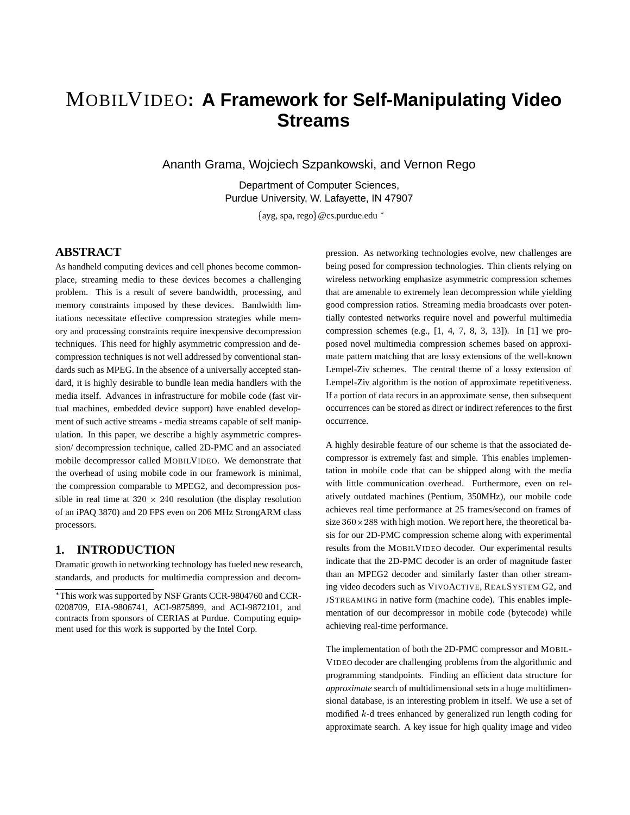# MOBILVIDEO**: A Framework for Self-Manipulating Video Streams**

Ananth Grama, Wojciech Szpankowski, and Vernon Rego

Department of Computer Sciences, Purdue University, W. Lafayette, IN 47907

 $\{$ ayg, spa, rego $\}$ @cs.purdue.edu \*

### **ABSTRACT**

As handheld computing devices and cell phones become commonplace, streaming media to these devices becomes a challenging problem. This is a result of severe bandwidth, processing, and memory constraints imposed by these devices. Bandwidth limitations necessitate effective compression strategies while memory and processing constraints require inexpensive decompression techniques. This need for highly asymmetric compression and decompression techniques is not well addressed by conventional standards such as MPEG. In the absence of a universally accepted standard, it is highly desirable to bundle lean media handlers with the media itself. Advances in infrastructure for mobile code (fast virtual machines, embedded device support) have enabled development of such active streams - media streams capable of self manipulation. In this paper, we describe a highly asymmetric compression/ decompression technique, called 2D-PMC and an associated mobile decompressor called MOBILVIDEO. We demonstrate that the overhead of using mobile code in our framework is minimal, the compression comparable to MPEG2, and decompression possible in real time at  $320 \times 240$  resolution (the display resolution of an iPAQ 3870) and 20 FPS even on 206 MHz StrongARM class processors.

## **1. INTRODUCTION**

Dramatic growth in networking technology has fueled new research, standards, and products for multimedia compression and decompression. As networking technologies evolve, new challenges are being posed for compression technologies. Thin clients relying on wireless networking emphasize asymmetric compression schemes that are amenable to extremely lean decompression while yielding good compression ratios. Streaming media broadcasts over potentially contested networks require novel and powerful multimedia compression schemes (e.g.,  $[1, 4, 7, 8, 3, 13]$ ). In  $[1]$  we proposed novel multimedia compression schemes based on approximate pattern matching that are lossy extensions of the well-known Lempel-Ziv schemes. The central theme of a lossy extension of Lempel-Ziv algorithm is the notion of approximate repetitiveness. If a portion of data recurs in an approximate sense, then subsequent occurrences can be stored as direct or indirect references to the first occurrence.

A highly desirable feature of our scheme is that the associated decompressor is extremely fast and simple. This enables implementation in mobile code that can be shipped along with the media with little communication overhead. Furthermore, even on relatively outdated machines (Pentium, 350MHz), our mobile code achieves real time performance at 25 frames/second on frames of size  $360 \times 288$  with high motion. We report here, the theoretical basis for our 2D-PMC compression scheme along with experimental results from the MOBILVIDEO decoder. Our experimental results indicate that the 2D-PMC decoder is an order of magnitude faster than an MPEG2 decoder and similarly faster than other streaming video decoders such as VIVOACTIVE, REALSYSTEM G2, and JSTREAMING in native form (machine code). This enables implementation of our decompressor in mobile code (bytecode) while achieving real-time performance.

The implementation of both the 2D-PMC compressor and MOBIL-VIDEO decoder are challenging problems from the algorithmic and programming standpoints. Finding an efficient data structure for *approximate* search of multidimensional sets in a huge multidimensional database, is an interesting problem in itself. We use a set of modified <sup>k</sup>-d trees enhanced by generalized run length coding for approximate search. A key issue for high quality image and video

This work was supported by NSF Grants CCR-9804760 and CCR-0208709, EIA-9806741, ACI-9875899, and ACI-9872101, and contracts from sponsors of CERIAS at Purdue. Computing equipment used for this work is supported by the Intel Corp.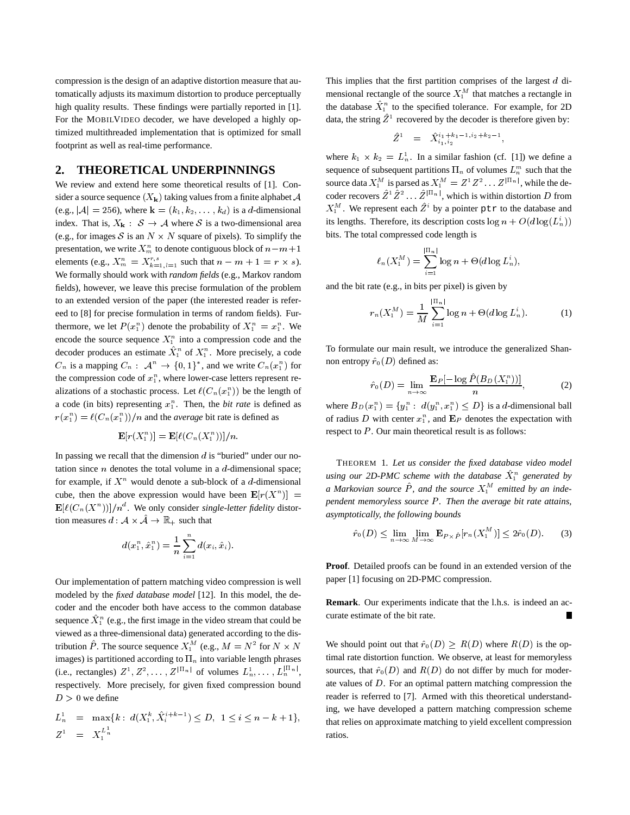compression is the design of an adaptive distortion measure that automatically adjusts its maximum distortion to produce perceptually high quality results. These findings were partially reported in [1]. For the MOBILVIDEO decoder, we have developed a highly optimized multithreaded implementation that is optimized for small footprint as well as real-time performance.

#### **2. THEORETICAL UNDERPINNINGS**

We review and extend here some theoretical results of [1]. Consider a source sequence  $(X_k)$  taking values from a finite alphabet A (e.g.,  $|\mathcal{A}| = 256$ ), where  $\mathbf{k} = (k_1, k_2, \dots, k_d)$  is a d-dimensional index. That is,  $X_k : \mathcal{S} \to \mathcal{A}$  where S is a two-dimensional area (e.g., for images S is an  $N \times N$  square of pixels). To simplify the presentation, we write  $X_m^n$  to denote contiguous block of  $n-m+1$ elements (e.g.,  $X_m^n = X_{k=1, l=1}^{r,s}$  such that  $n - m + 1 = r \times s$ ). We formally should work with *random fields* (e.g., Markov random fields), however, we leave this precise formulation of the problem to an extended version of the paper (the interested reader is refereed to [8] for precise formulation in terms of random fields). Furthermore, we let  $P(x_1^n)$  denote the probability of  $X_1^n = x_1^n$ . We encode the source sequence  $X_1^n$  into a compression code and the decoder produces an estimate  $X_1^n$  of  $X_1^n$ . More precisely, a code  $C_n$  is a mapping  $C_n$ :  $\mathcal{A}^n \to \{0,1\}^*$ , and we write  $C_n(x_1^n)$  for the compression code of  $x_1^n$ , where lower-case letters represent realizations of a stochastic process. Let  $\ell(C_n(x_1^n))$  be the length of a code (in bits) representing  $x_1^n$ . Then, the *bit rate* is defined as  $r(x_1^n) = \ell(C_n(x_1^n))/n$  and the *average* bit rate is defined as

$$
\mathbf{E}[r(X_1^n)] = \mathbf{E}[\ell(C_n(X_1^n))]/n.
$$

In passing we recall that the dimension  $d$  is "buried" under our notation since  $n$  denotes the total volume in a  $d$ -dimensional space; for example, if  $X^n$  would denote a sub-block of a d-dimensional cube, then the above expression would have been  $\mathbf{E}[r(X^n)] =$  $\mathbf{E}[\ell(C_n(X^n))]/n^d$ . We only consider *single-letter fidelity* distortion measures  $d : \mathcal{A} \times \mathcal{A} \rightarrow \mathbb{R}_+$  such that

$$
d(x_1^n, \hat{x}_1^n) = \frac{1}{n} \sum_{i=1}^n d(x_i, \hat{x}_i).
$$

Our implementation of pattern matching video compression is well modeled by the *fixed database model* [12]. In this model, the decoder and the encoder both have access to the common database sequence  $X_1^n$  (e.g., the first image in the video stream that could be viewed as a three-dimensional data) generated according to the distribution P. The source sequence  $X_1^M$  (e.g.,  $M = N^2$  for  $N \times N$ images) is partitioned according to  $\Pi_n$  into variable length phrases (i.e., rectangles)  $Z^1, Z^2, \ldots, Z^{|H_n|}$  of volumes  $L_n^1, \ldots, L_n^{|H_n|}$ , respectively. More precisely, for given fixed compression bound  $D > 0$  we define

$$
L_n^1 = \max\{k : d(X_1^k, \hat{X}_i^{i+k-1}) \le D, \ 1 \le i \le n-k+1\},
$$
  

$$
Z^1 = X_1^{L_n^1}
$$

This implies that the first partition comprises of the largest <sup>d</sup> dimensional rectangle of the source  $X_1^M$  that matches a rectangle in the database  $X_1^n$  to the specified tolerance. For example, for 2D data, the string  $Z^1$  recovered by the decoder is therefore given by:

$$
\hat{Z}^1 = \hat{X}_{i_1, i_2}^{i_1 + k_1 - 1, i_2 + k_2 - 1},
$$

where  $k_1 \times k_2 = L_n^1$ . In a similar fashion (cf. [1]) we define a sequence of subsequent partitions  $\Pi_n$  of volumes  $L_n^m$  such that the source data  $X_1^M$  is parsed as  $X_1^M = Z^T Z^2 \dots Z^{|H_n|}$ , while the decoder recovers  $Z^T Z^2 \dots Z^{|H_n|}$ , which is within distortion D from  $X_1^M$ . We represent each  $Z^i$  by a pointer ptr to the database and its lengths. Therefore, its description costs  $\log n + O(d \log(L_n^i))$ bits. The total compressed code length is

$$
\ell_n(X_1^M)=\sum_{i=1}^{|\Pi_n|}\log n +\Theta(d\log L_n^i),
$$

and the bit rate (e.g., in bits per pixel) is given by

$$
r_n(X_1^M) = \frac{1}{M} \sum_{i=1}^{\lfloor \ln n \rfloor} \log n + \Theta(d \log L_n^i). \tag{1}
$$

To formulate our main result, we introduce the generalized Shannon entropy  $\hat{r}_0(D)$  defined as:

$$
\hat{r}_0(D) = \lim_{n \to \infty} \frac{\mathbf{E}_P[-\log \hat{P}(B_D(X_1^n))]}{n},\tag{2}
$$

where  $B_D(x_1^n) = \{y_1^n : d(y_1^n, x_1^n) \leq D\}$  is a *d*-dimensional ball of radius D with center  $x_1^n$ , and  $E_P$  denotes the expectation with respect to  $P$ . Our main theoretical result is as follows:

*pendent memoryless source* P. Then the average bit rate attains, THEOREM 1. *Let us consider the fixed database video model* using our 2D-PMC scheme with the database  $X_1^n$  generated by a Markovian source P, and the source  $X_1^M$  emitted by an inde*asymptotically, the following bounds*

$$
\hat{r}_0(D) \le \lim_{n \to \infty} \lim_{M \to \infty} \mathbf{E}_{P \times \hat{P}}[r_n(X_1^M)] \le 2\hat{r}_0(D). \tag{3}
$$

**Proof**. Detailed proofs can be found in an extended version of the paper [1] focusing on 2D-PMC compression.

**Remark**. Our experiments indicate that the l.h.s. is indeed an accurate estimate of the bit rate.

 $N$  We should point out that  $\hat{r}_0(D) \ge R(D)$  where  $R(D)$  is the optimal rate distortion function. We observe, at least for memoryless sources, that  $\hat{r}_0(D)$  and  $R(D)$  do not differ by much for moderate values of <sup>D</sup>. For an optimal pattern matching compression the reader is referred to [7]. Armed with this theoretical understanding, we have developed a pattern matching compression scheme that relies on approximate matching to yield excellent compression ratios.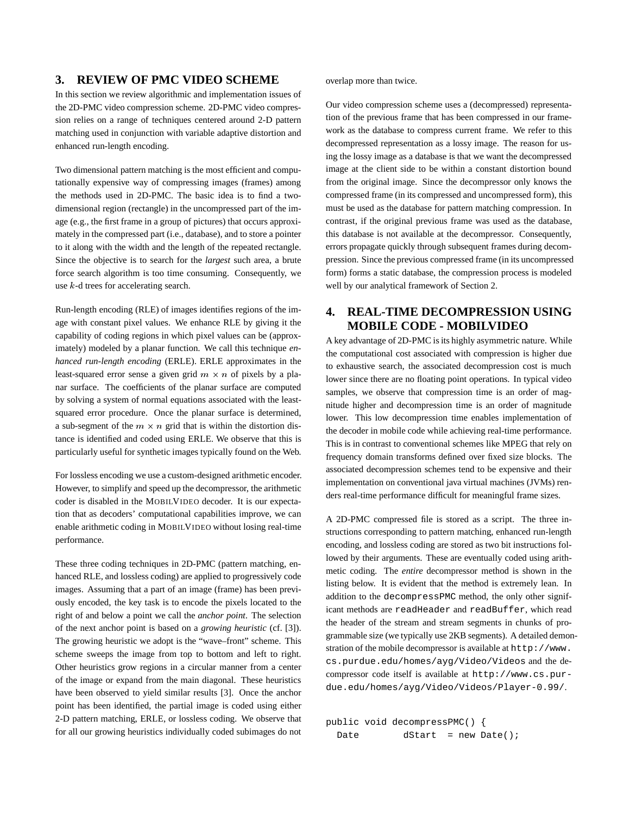#### **3. REVIEW OF PMC VIDEO SCHEME**

In this section we review algorithmic and implementation issues of the 2D-PMC video compression scheme. 2D-PMC video compression relies on a range of techniques centered around 2-D pattern matching used in conjunction with variable adaptive distortion and enhanced run-length encoding.

Two dimensional pattern matching is the most efficient and computationally expensive way of compressing images (frames) among the methods used in 2D-PMC. The basic idea is to find a twodimensional region (rectangle) in the uncompressed part of the image (e.g., the first frame in a group of pictures) that occurs approximately in the compressed part (i.e., database), and to store a pointer to it along with the width and the length of the repeated rectangle. Since the objective is to search for the *largest* such area, a brute force search algorithm is too time consuming. Consequently, we use <sup>k</sup>-d trees for accelerating search.

Run-length encoding (RLE) of images identifies regions of the image with constant pixel values. We enhance RLE by giving it the capability of coding regions in which pixel values can be (approximately) modeled by a planar function. We call this technique *enhanced run-length encoding* (ERLE). ERLE approximates in the least-squared error sense a given grid  $m \times n$  of pixels by a planar surface. The coefficients of the planar surface are computed by solving a system of normal equations associated with the leastsquared error procedure. Once the planar surface is determined, a sub-segment of the  $m \times n$  grid that is within the distortion distance is identified and coded using ERLE. We observe that this is particularly useful for synthetic images typically found on the Web.

For lossless encoding we use a custom-designed arithmetic encoder. However, to simplify and speed up the decompressor, the arithmetic coder is disabled in the MOBILVIDEO decoder. It is our expectation that as decoders' computational capabilities improve, we can enable arithmetic coding in MOBILVIDEO without losing real-time performance.

These three coding techniques in 2D-PMC (pattern matching, enhanced RLE, and lossless coding) are applied to progressively code images. Assuming that a part of an image (frame) has been previously encoded, the key task is to encode the pixels located to the right of and below a point we call the *anchor point*. The selection of the next anchor point is based on a *growing heuristic* (cf. [3]). The growing heuristic we adopt is the "wave–front" scheme. This scheme sweeps the image from top to bottom and left to right. Other heuristics grow regions in a circular manner from a center of the image or expand from the main diagonal. These heuristics have been observed to yield similar results [3]. Once the anchor point has been identified, the partial image is coded using either 2-D pattern matching, ERLE, or lossless coding. We observe that for all our growing heuristics individually coded subimages do not overlap more than twice.

Our video compression scheme uses a (decompressed) representation of the previous frame that has been compressed in our framework as the database to compress current frame. We refer to this decompressed representation as a lossy image. The reason for using the lossy image as a database is that we want the decompressed image at the client side to be within a constant distortion bound from the original image. Since the decompressor only knows the compressed frame (in its compressed and uncompressed form), this must be used as the database for pattern matching compression. In contrast, if the original previous frame was used as the database, this database is not available at the decompressor. Consequently, errors propagate quickly through subsequent frames during decompression. Since the previous compressed frame (in its uncompressed form) forms a static database, the compression process is modeled well by our analytical framework of Section 2.

# **4. REAL-TIME DECOMPRESSION USING MOBILE CODE - MOBILVIDEO**

A key advantage of 2D-PMC is its highly asymmetric nature. While the computational cost associated with compression is higher due to exhaustive search, the associated decompression cost is much lower since there are no floating point operations. In typical video samples, we observe that compression time is an order of magnitude higher and decompression time is an order of magnitude lower. This low decompression time enables implementation of the decoder in mobile code while achieving real-time performance. This is in contrast to conventional schemes like MPEG that rely on frequency domain transforms defined over fixed size blocks. The associated decompression schemes tend to be expensive and their implementation on conventional java virtual machines (JVMs) renders real-time performance difficult for meaningful frame sizes.

A 2D-PMC compressed file is stored as a script. The three instructions corresponding to pattern matching, enhanced run-length encoding, and lossless coding are stored as two bit instructions followed by their arguments. These are eventually coded using arithmetic coding. The *entire* decompressor method is shown in the listing below. It is evident that the method is extremely lean. In addition to the decompressPMC method, the only other significant methods are readHeader and readBuffer, which read the header of the stream and stream segments in chunks of programmable size (we typically use 2KB segments). A detailed demonstration of the mobile decompressor is available at http://www. cs.purdue.edu/homes/ayg/Video/Videos and the decompressor code itself is available at http://www.cs.purdue.edu/homes/ayg/Video/Videos/Player-0.99/.

public void decompressPMC() { Date dStart = new Date();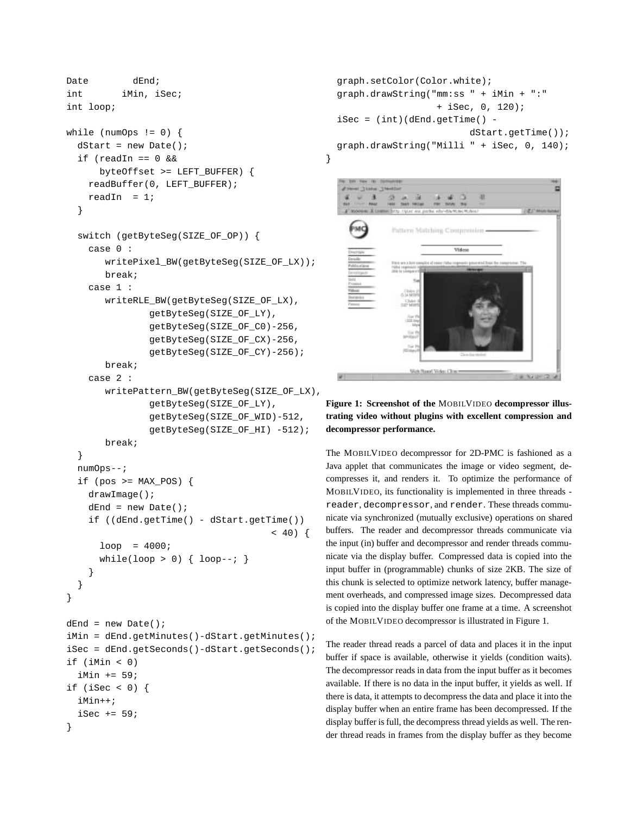```
Date dEnd;
int iMin, iSec;
int loop;
while (numOps != 0) {
  dStart = new Date();
  if (readIn == 0 &&
      byteOffset >= LEFT_BUFFER) {
    readBuffer(0, LEFT_BUFFER);
    readIn = 1;
  }
  switch (getByteSeg(SIZE_OF_OP)) {
    case 0 :
       writePixel_BW(getByteSeg(SIZE_OF_LX));
      break;
    case 1 :
       writeRLE_BW(getByteSeg(SIZE_OF_LX),
               getByteSeg(SIZE_OF_LY),
               getByteSeg(SIZE_OF_C0)-256,
               getByteSeg(SIZE_OF_CX)-256,
               getByteSeg(SIZE_OF_CY)-256);
      break;
    case 2 :
       writePattern_BW(getByteSeg(SIZE_OF_LX),
               getByteSeg(SIZE_OF_LY),
               getByteSeg(SIZE_OF_WID)-512,
               getByteSeg(SIZE_OF_HI) -512);
       break;
  }
  numOps--;
  if (pos >= MAX_POS) {
    drawImage();
    dEnd = new Date()if ((dEnd.getTime() - dStart.getTime())
                                     < 40) {
      loop = 4000;while(loop > 0) { loop--; }
    }
  }
}
dEnd = new Date();
iMin = dEnd.getMinutes()-dStart.getMinutes();
iSec = dEnd.getSeconds()-dStart.getSeconds();
if (iMin < 0)
  iMin += 59;if (iSec < 0) {
  iMin++;
  iSec += 59;
```
}

```
graph.setColor(Color.white);
graph.drawString("mm:ss " + iMin + ":"
                     + iSec, 0, 120);
\texttt{isec} = (\texttt{int})(\texttt{dEnd.getTime}) -dStart.getTime());
graph.drawString("Milli " + iSec, 0, 140);
```
}



#### **Figure 1: Screenshot of the** MOBILVIDEO **decompressor illustrating video without plugins with excellent compression and decompressor performance.**

The MOBILVIDEO decompressor for 2D-PMC is fashioned as a Java applet that communicates the image or video segment, decompresses it, and renders it. To optimize the performance of MOBILVIDEO, its functionality is implemented in three threads reader, decompressor, and render. These threads communicate via synchronized (mutually exclusive) operations on shared buffers. The reader and decompressor threads communicate via the input (in) buffer and decompressor and render threads communicate via the display buffer. Compressed data is copied into the input buffer in (programmable) chunks of size 2KB. The size of this chunk is selected to optimize network latency, buffer management overheads, and compressed image sizes. Decompressed data is copied into the display buffer one frame at a time. A screenshot of the MOBILVIDEO decompressor is illustrated in Figure 1.

The reader thread reads a parcel of data and places it in the input buffer if space is available, otherwise it yields (condition waits). The decompressor reads in data from the input buffer as it becomes available. If there is no data in the input buffer, it yields as well. If there is data, it attempts to decompress the data and place it into the display buffer when an entire frame has been decompressed. If the display buffer is full, the decompress thread yields as well. The render thread reads in frames from the display buffer as they become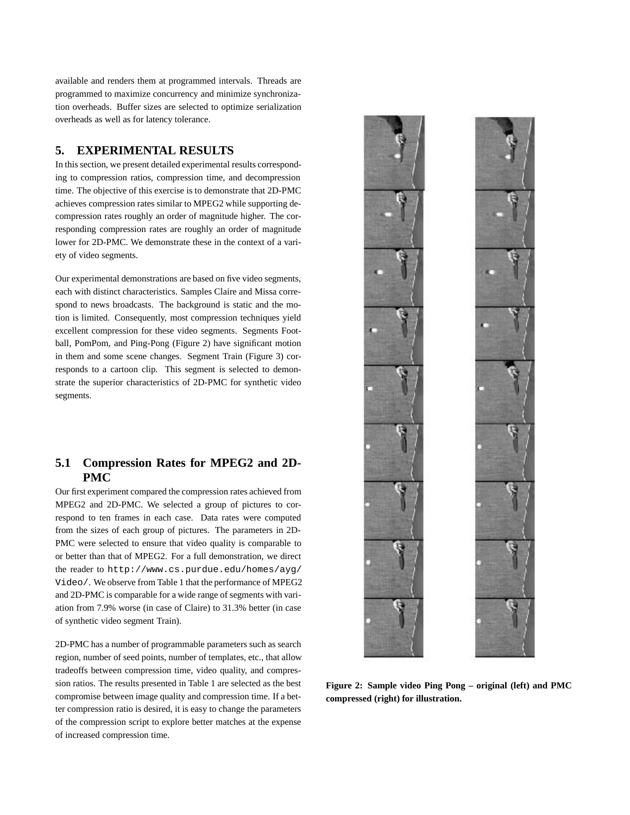available and renders them at programmed intervals. Threads are programmed to maximize concurrency and minimize synchronization overheads. Buffer sizes are selected to optimize serialization overheads as well as for latency tolerance.

#### **5. EXPERIMENTAL RESULTS**

In this section, we present detailed experimental results corresponding to compression ratios, compression time, and decompression time. The objective of this exercise is to demonstrate that 2D-PMC achieves compression rates similar to MPEG2 while supporting decompression rates roughly an order of magnitude higher. The corresponding compression rates are roughly an order of magnitude lower for 2D-PMC. We demonstrate these in the context of a variety of video segments.

Our experimental demonstrations are based on five video segments, each with distinct characteristics. Samples Claire and Missa correspond to news broadcasts. The background is static and the motion is limited. Consequently, most compression techniques yield excellent compression for these video segments. Segments Football, PomPom, and Ping-Pong (Figure 2) have significant motion in them and some scene changes. Segment Train (Figure 3) corresponds to a cartoon clip. This segment is selected to demonstrate the superior characteristics of 2D-PMC for synthetic video segments.

### **5.1 Compression Rates for MPEG2 and 2D-PMC**

Our first experiment compared the compression rates achieved from MPEG2 and 2D-PMC. We selected a group of pictures to correspond to ten frames in each case. Data rates were computed from the sizes of each group of pictures. The parameters in 2D-PMC were selected to ensure that video quality is comparable to or better than that of MPEG2. For a full demonstration, we direct the reader to http://www.cs.purdue.edu/homes/ayg/ Video/. We observe from Table 1 that the performance of MPEG2 and 2D-PMC is comparable for a wide range of segments with variation from 7.9% worse (in case of Claire) to 31.3% better (in case of synthetic video segment Train).

2D-PMC has a number of programmable parameters such as search region, number of seed points, number of templates, etc., that allow tradeoffs between compression time, video quality, and compression ratios. The results presented in Table 1 are selected as the best compromise between image quality and compression time. If a better compression ratio is desired, it is easy to change the parameters of the compression script to explore better matches at the expense of increased compression time.



**Figure 2: Sample video Ping Pong – original (left) and PMC compressed (right) for illustration.**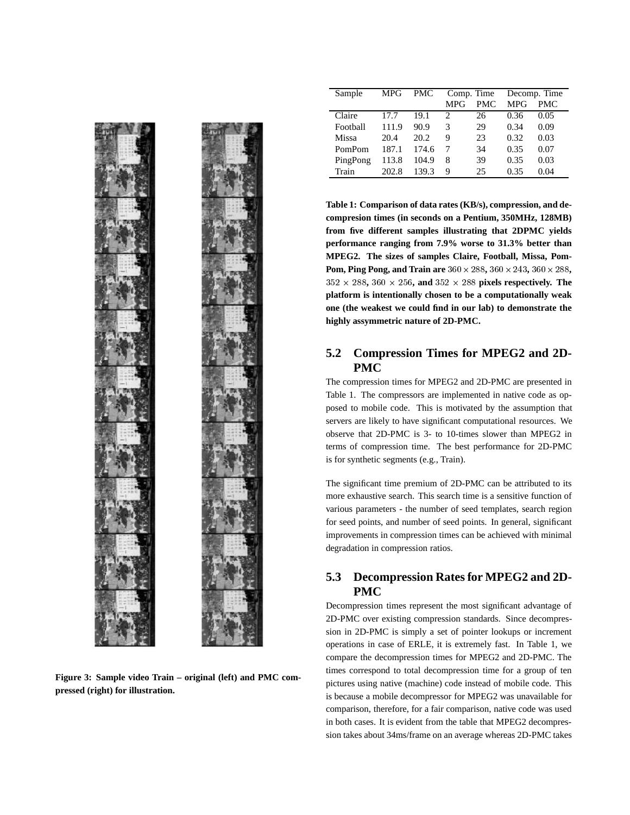

**Figure 3: Sample video Train – original (left) and PMC compressed (right) for illustration.**

| Sample   | MPG   | <b>PMC</b> | Comp. Time |            | Decomp. Time |      |
|----------|-------|------------|------------|------------|--------------|------|
|          |       |            | <b>MPG</b> | <b>PMC</b> | <b>MPG</b>   | PMC. |
| Claire   | 17.7  | 19.1       | 2          | 26         | 0.36         | 0.05 |
| Football | 111.9 | 90.9       | 3          | 29         | 0.34         | 0.09 |
| Missa    | 20.4  | 20.2       | 9          | 23         | 0.32         | 0.03 |
| PomPom   | 187.1 | 174.6      |            | 34         | 0.35         | 0.07 |
| PingPong | 113.8 | 104.9      | 8          | 39         | 0.35         | 0.03 |
| Train    | 202.8 | 139.3      | 9          | 25         | 0.35         | 0.04 |

**Table 1: Comparison of data rates (KB/s), compression, and decompresion times (in seconds on a Pentium, 350MHz, 128MB) from five different samples illustrating that 2DPMC yields performance ranging from 7.9% worse to 31.3% better than MPEG2. The sizes of samples Claire, Football, Missa, Pom-Pom, Ping Pong, and Train are**  $360 \times 288$ ,  $360 \times 243$ ,  $360 \times 288$ ,  $352 \times 288$ ,  $360 \times 256$ , and  $352 \times 288$  pixels respectively. The **platform is intentionally chosen to be a computationally weak one (the weakest we could find in our lab) to demonstrate the highly assymmetric nature of 2D-PMC.**

### **5.2 Compression Times for MPEG2 and 2D-PMC**

The compression times for MPEG2 and 2D-PMC are presented in Table 1. The compressors are implemented in native code as opposed to mobile code. This is motivated by the assumption that servers are likely to have significant computational resources. We observe that 2D-PMC is 3- to 10-times slower than MPEG2 in terms of compression time. The best performance for 2D-PMC is for synthetic segments (e.g., Train).

The significant time premium of 2D-PMC can be attributed to its more exhaustive search. This search time is a sensitive function of various parameters - the number of seed templates, search region for seed points, and number of seed points. In general, significant improvements in compression times can be achieved with minimal degradation in compression ratios.

# **5.3 Decompression Rates for MPEG2 and 2D-PMC**

Decompression times represent the most significant advantage of 2D-PMC over existing compression standards. Since decompression in 2D-PMC is simply a set of pointer lookups or increment operations in case of ERLE, it is extremely fast. In Table 1, we compare the decompression times for MPEG2 and 2D-PMC. The times correspond to total decompression time for a group of ten pictures using native (machine) code instead of mobile code. This is because a mobile decompressor for MPEG2 was unavailable for comparison, therefore, for a fair comparison, native code was used in both cases. It is evident from the table that MPEG2 decompression takes about 34ms/frame on an average whereas 2D-PMC takes